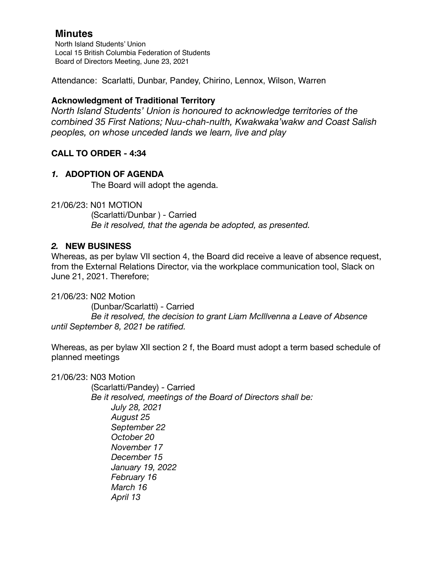North Island Students' Union Local 15 British Columbia Federation of Students Board of Directors Meeting, June 23, 2021

Attendance: Scarlatti, Dunbar, Pandey, Chirino, Lennox, Wilson, Warren

## **Acknowledgment of Traditional Territory**

*North Island Students' Union is honoured to acknowledge territories of the combined 35 First Nations; Nuu-chah-nulth, Kwakwaka'wakw and Coast Salish peoples, on whose unceded lands we learn, live and play*

## **CALL TO ORDER - 4:34**

## *1.* **ADOPTION OF AGENDA**

The Board will adopt the agenda.

21/06/23: N01 MOTION (Scarlatti/Dunbar ) - Carried *Be it resolved, that the agenda be adopted, as presented.* 

## *2.* **NEW BUSINESS**

Whereas, as per bylaw VII section 4, the Board did receive a leave of absence request, from the External Relations Director, via the workplace communication tool, Slack on June 21, 2021. Therefore;

21/06/23: N02 Motion (Dunbar/Scarlatti) - Carried *Be it resolved, the decision to grant Liam McIllvenna a Leave of Absence until September 8, 2021 be ratified.* 

Whereas, as per bylaw XII section 2 f, the Board must adopt a term based schedule of planned meetings

21/06/23: N03 Motion

 (Scarlatti/Pandey) - Carried *Be it resolved, meetings of the Board of Directors shall be: July 28, 2021 August 25 September 22 October 20 November 17 December 15 January 19, 2022 February 16 March 16 April 13*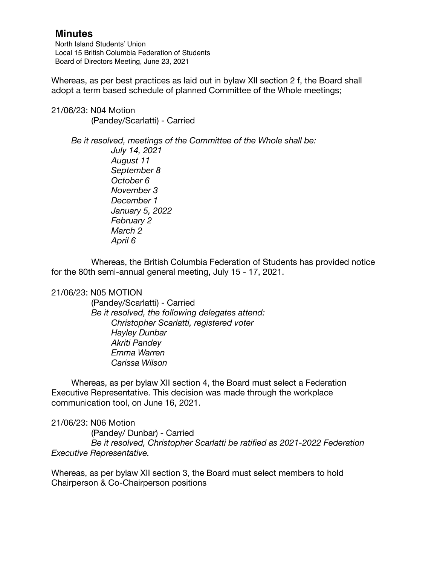North Island Students' Union Local 15 British Columbia Federation of Students Board of Directors Meeting, June 23, 2021

Whereas, as per best practices as laid out in bylaw XII section 2 f, the Board shall adopt a term based schedule of planned Committee of the Whole meetings;

21/06/23: N04 Motion (Pandey/Scarlatti) - Carried

> *Be it resolved, meetings of the Committee of the Whole shall be: July 14, 2021*

 *August 11 September 8 October 6 November 3 December 1 January 5, 2022 February 2 March 2 April 6*

Whereas, the British Columbia Federation of Students has provided notice for the 80th semi-annual general meeting, July 15 - 17, 2021.

### 21/06/23: N05 MOTION

 (Pandey/Scarlatti) - Carried *Be it resolved, the following delegates attend: Christopher Scarlatti, registered voter Hayley Dunbar Akriti Pandey Emma Warren Carissa Wilson* 

Whereas, as per bylaw XII section 4, the Board must select a Federation Executive Representative. This decision was made through the workplace communication tool, on June 16, 2021.

21/06/23: N06 Motion

 (Pandey/ Dunbar) - Carried *Be it resolved, Christopher Scarlatti be ratified as 2021-2022 Federation Executive Representative.* 

Whereas, as per bylaw XII section 3, the Board must select members to hold Chairperson & Co-Chairperson positions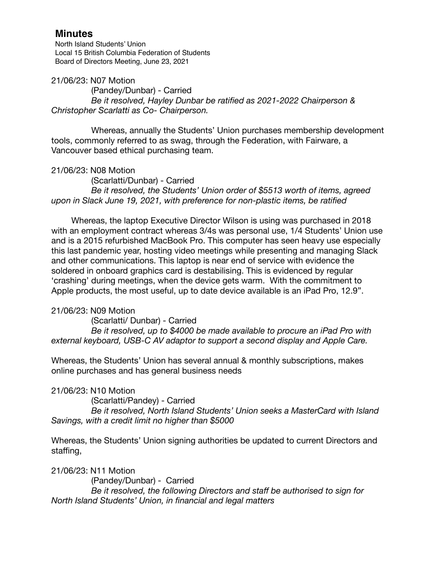North Island Students' Union Local 15 British Columbia Federation of Students Board of Directors Meeting, June 23, 2021

21/06/23: N07 Motion

 (Pandey/Dunbar) - Carried *Be it resolved, Hayley Dunbar be ratified as 2021-2022 Chairperson & Christopher Scarlatti as Co- Chairperson.* 

Whereas, annually the Students' Union purchases membership development tools, commonly referred to as swag, through the Federation, with Fairware, a Vancouver based ethical purchasing team.

21/06/23: N08 Motion

 (Scarlatti/Dunbar) - Carried *Be it resolved, the Students' Union order of \$5513 worth of items, agreed upon in Slack June 19, 2021, with preference for non-plastic items, be ratified* 

Whereas, the laptop Executive Director Wilson is using was purchased in 2018 with an employment contract whereas 3/4s was personal use, 1/4 Students' Union use and is a 2015 refurbished MacBook Pro. This computer has seen heavy use especially this last pandemic year, hosting video meetings while presenting and managing Slack and other communications. This laptop is near end of service with evidence the soldered in onboard graphics card is destabilising. This is evidenced by regular 'crashing' during meetings, when the device gets warm. With the commitment to Apple products, the most useful, up to date device available is an iPad Pro, 12.9".

## 21/06/23: N09 Motion

 (Scarlatti/ Dunbar) - Carried *Be it resolved, up to \$4000 be made available to procure an iPad Pro with external keyboard, USB-C AV adaptor to support a second display and Apple Care.* 

Whereas, the Students' Union has several annual & monthly subscriptions, makes online purchases and has general business needs

21/06/23: N10 Motion

 (Scarlatti/Pandey) - Carried *Be it resolved, North Island Students' Union seeks a MasterCard with Island Savings, with a credit limit no higher than \$5000* 

Whereas, the Students' Union signing authorities be updated to current Directors and staffing,

21/06/23: N11 Motion (Pandey/Dunbar) - Carried *Be it resolved, the following Directors and staff be authorised to sign for North Island Students' Union, in financial and legal matters*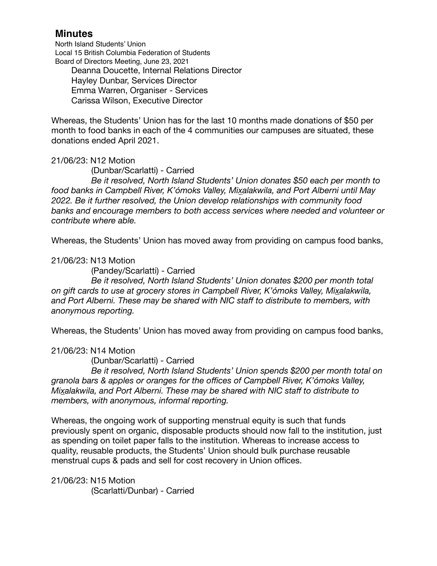North Island Students' Union Local 15 British Columbia Federation of Students Board of Directors Meeting, June 23, 2021

Deanna Doucette, Internal Relations Director Hayley Dunbar, Services Director Emma Warren, Organiser - Services Carissa Wilson, Executive Director

Whereas, the Students' Union has for the last 10 months made donations of \$50 per month to food banks in each of the 4 communities our campuses are situated, these donations ended April 2021.

### 21/06/23: N12 Motion

 (Dunbar/Scarlatti) - Carried

 *Be it resolved, North Island Students' Union donates \$50 each per month to food banks in Campbell River, K'ómoks Valley, Mixalakwila, and Port Alberni until May 2022. Be it further resolved, the Union develop relationships with community food banks and encourage members to both access services where needed and volunteer or contribute where able.* 

Whereas, the Students' Union has moved away from providing on campus food banks,

### 21/06/23: N13 Motion

 (Pandey/Scarlatti) - Carried

 *Be it resolved, North Island Students' Union donates \$200 per month total on gift cards to use at grocery stores in Campbell River, K'ómoks Valley, Mixalakwila, and Port Alberni. These may be shared with NIC staff to distribute to members, with anonymous reporting.* 

Whereas, the Students' Union has moved away from providing on campus food banks,

### 21/06/23: N14 Motion

 (Dunbar/Scarlatti) - Carried

 *Be it resolved, North Island Students' Union spends \$200 per month total on granola bars & apples or oranges for the offices of Campbell River, K'ómoks Valley, Mixalakwila, and Port Alberni. These may be shared with NIC staff to distribute to members, with anonymous, informal reporting.* 

Whereas, the ongoing work of supporting menstrual equity is such that funds previously spent on organic, disposable products should now fall to the institution, just as spending on toilet paper falls to the institution. Whereas to increase access to quality, reusable products, the Students' Union should bulk purchase reusable menstrual cups & pads and sell for cost recovery in Union offices.

21/06/23: N15 Motion (Scarlatti/Dunbar) - Carried